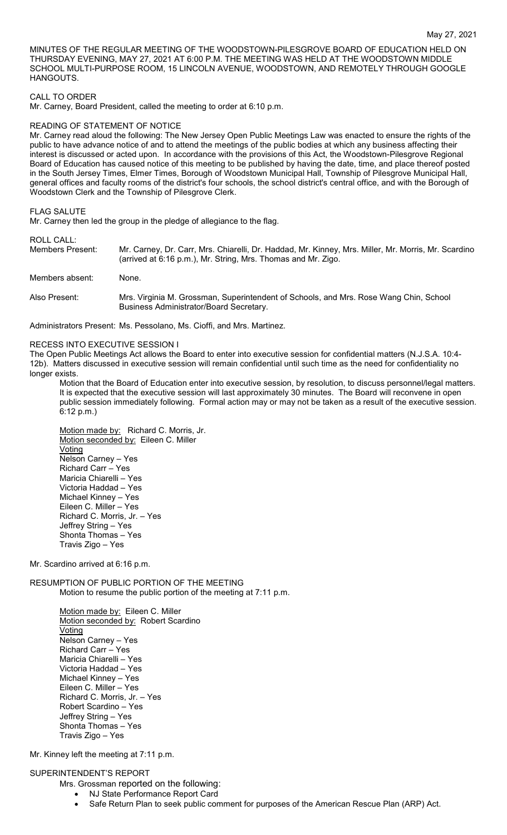MINUTES OF THE REGULAR MEETING OF THE WOODSTOWN-PILESGROVE BOARD OF EDUCATION HELD ON THURSDAY EVENING, MAY 27, 2021 AT 6:00 P.M. THE MEETING WAS HELD AT THE WOODSTOWN MIDDLE SCHOOL MULTI-PURPOSE ROOM, 15 LINCOLN AVENUE, WOODSTOWN, AND REMOTELY THROUGH GOOGLE **HANGOUTS** 

#### CALL TO ORDER

Mr. Carney, Board President, called the meeting to order at 6:10 p.m.

#### READING OF STATEMENT OF NOTICE

Mr. Carney read aloud the following: The New Jersey Open Public Meetings Law was enacted to ensure the rights of the public to have advance notice of and to attend the meetings of the public bodies at which any business affecting their interest is discussed or acted upon. In accordance with the provisions of this Act, the Woodstown-Pilesgrove Regional Board of Education has caused notice of this meeting to be published by having the date, time, and place thereof posted in the South Jersey Times, Elmer Times, Borough of Woodstown Municipal Hall, Township of Pilesgrove Municipal Hall, general offices and faculty rooms of the district's four schools, the school district's central office, and with the Borough of Woodstown Clerk and the Township of Pilesgrove Clerk.

#### FLAG SALUTE

Mr. Carney then led the group in the pledge of allegiance to the flag.

ROLL CALL:

Members Present: Mr. Carney, Dr. Carr, Mrs. Chiarelli, Dr. Haddad, Mr. Kinney, Mrs. Miller, Mr. Morris, Mr. Scardino (arrived at 6:16 p.m.), Mr. String, Mrs. Thomas and Mr. Zigo.

Members absent: None.

Also Present: Mrs. Virginia M. Grossman, Superintendent of Schools, and Mrs. Rose Wang Chin, School Business Administrator/Board Secretary.

Administrators Present: Ms. Pessolano, Ms. Cioffi, and Mrs. Martinez.

## RECESS INTO EXECUTIVE SESSION I

The Open Public Meetings Act allows the Board to enter into executive session for confidential matters (N.J.S.A. 10:4- 12b). Matters discussed in executive session will remain confidential until such time as the need for confidentiality no longer exists.

Motion that the Board of Education enter into executive session, by resolution, to discuss personnel/legal matters. It is expected that the executive session will last approximately 30 minutes. The Board will reconvene in open public session immediately following. Formal action may or may not be taken as a result of the executive session. 6:12 p.m.)

Motion made by: Richard C. Morris, Jr. Motion seconded by: Eileen C. Miller Voting Nelson Carney – Yes Richard Carr – Yes Maricia Chiarelli – Yes Victoria Haddad – Yes Michael Kinney – Yes Eileen C. Miller – Yes Richard C. Morris, Jr. – Yes Jeffrey String – Yes Shonta Thomas – Yes Travis Zigo – Yes

Mr. Scardino arrived at 6:16 p.m.

## RESUMPTION OF PUBLIC PORTION OF THE MEETING Motion to resume the public portion of the meeting at 7:11 p.m.

Motion made by: Eileen C. Miller Motion seconded by: Robert Scardino Voting Nelson Carney – Yes Richard Carr – Yes Maricia Chiarelli – Yes Victoria Haddad – Yes Michael Kinney – Yes Eileen C. Miller – Yes Richard C. Morris, Jr. – Yes Robert Scardino – Yes Jeffrey String – Yes Shonta Thomas – Yes Travis Zigo – Yes

Mr. Kinney left the meeting at 7:11 p.m.

#### SUPERINTENDENT'S REPORT

- Mrs. Grossman reported on the following:
	- NJ State Performance Report Card
	- Safe Return Plan to seek public comment for purposes of the American Rescue Plan (ARP) Act.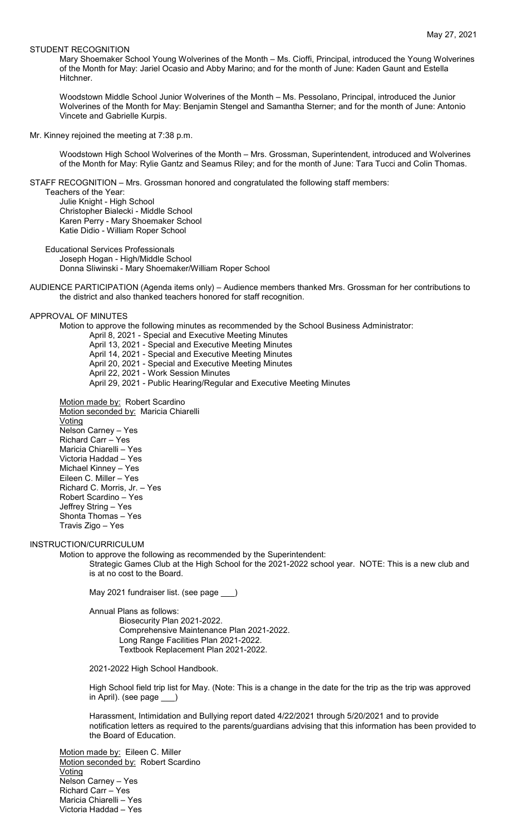#### STUDENT RECOGNITION

Mary Shoemaker School Young Wolverines of the Month – Ms. Cioffi, Principal, introduced the Young Wolverines of the Month for May: Jariel Ocasio and Abby Marino; and for the month of June: Kaden Gaunt and Estella **Hitchner** 

Woodstown Middle School Junior Wolverines of the Month – Ms. Pessolano, Principal, introduced the Junior Wolverines of the Month for May: Benjamin Stengel and Samantha Sterner; and for the month of June: Antonio Vincete and Gabrielle Kurpis.

Mr. Kinney rejoined the meeting at 7:38 p.m.

Woodstown High School Wolverines of the Month – Mrs. Grossman, Superintendent, introduced and Wolverines of the Month for May: Rylie Gantz and Seamus Riley; and for the month of June: Tara Tucci and Colin Thomas.

STAFF RECOGNITION – Mrs. Grossman honored and congratulated the following staff members:

Teachers of the Year: Julie Knight - High School Christopher Bialecki - Middle School Karen Perry - Mary Shoemaker School Katie Didio - William Roper School

Educational Services Professionals Joseph Hogan - High/Middle School Donna Sliwinski - Mary Shoemaker/William Roper School

AUDIENCE PARTICIPATION (Agenda items only) – Audience members thanked Mrs. Grossman for her contributions to the district and also thanked teachers honored for staff recognition.

#### APPROVAL OF MINUTES

Motion to approve the following minutes as recommended by the School Business Administrator:

April 8, 2021 - Special and Executive Meeting Minutes

April 13, 2021 - Special and Executive Meeting Minutes

April 14, 2021 - Special and Executive Meeting Minutes

April 20, 2021 - Special and Executive Meeting Minutes

- April 22, 2021 Work Session Minutes
- April 29, 2021 Public Hearing/Regular and Executive Meeting Minutes

Motion made by: Robert Scardino Motion seconded by: Maricia Chiarelli Voting Nelson Carney – Yes Richard Carr – Yes Maricia Chiarelli – Yes Victoria Haddad – Yes Michael Kinney – Yes Eileen C. Miller – Yes Richard C. Morris, Jr. – Yes Robert Scardino – Yes Jeffrey String – Yes Shonta Thomas – Yes Travis Zigo – Yes

#### INSTRUCTION/CURRICULUM

Motion to approve the following as recommended by the Superintendent: Strategic Games Club at the High School for the 2021-2022 school year. NOTE: This is a new club and is at no cost to the Board.

May 2021 fundraiser list. (see page \_\_\_)

Annual Plans as follows:

Biosecurity Plan 2021-2022. Comprehensive Maintenance Plan 2021-2022. Long Range Facilities Plan 2021-2022. Textbook Replacement Plan 2021-2022.

2021-2022 High School Handbook.

High School field trip list for May. (Note: This is a change in the date for the trip as the trip was approved in April). (see page \_

Harassment, Intimidation and Bullying report dated 4/22/2021 through 5/20/2021 and to provide notification letters as required to the parents/guardians advising that this information has been provided to the Board of Education.

Motion made by: Eileen C. Miller Motion seconded by: Robert Scardino Voting Nelson Carney – Yes Richard Carr – Yes Maricia Chiarelli – Yes Victoria Haddad – Yes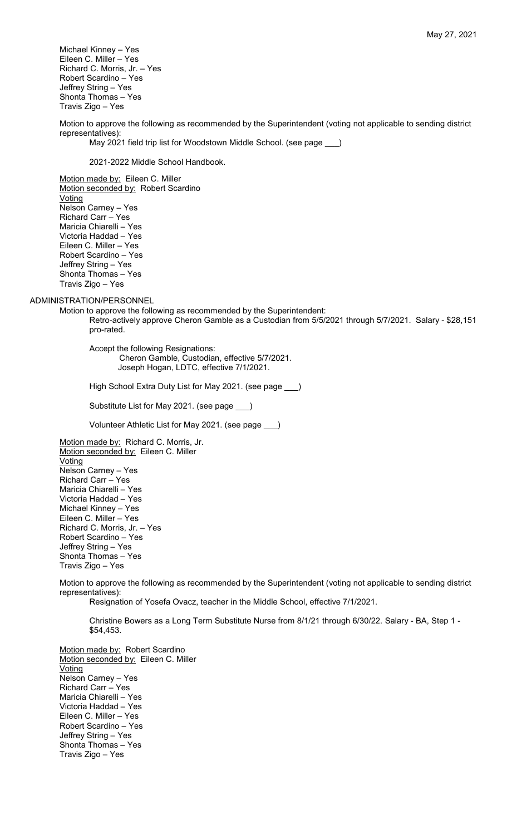Michael Kinney – Yes Eileen C. Miller – Yes Richard C. Morris, Jr. – Yes Robert Scardino – Yes Jeffrey String – Yes Shonta Thomas – Yes Travis Zigo – Yes

Motion to approve the following as recommended by the Superintendent (voting not applicable to sending district representatives):

May 2021 field trip list for Woodstown Middle School. (see page \_\_\_)

2021-2022 Middle School Handbook.

Motion made by: Eileen C. Miller Motion seconded by: Robert Scardino Voting Nelson Carney – Yes Richard Carr – Yes Maricia Chiarelli – Yes Victoria Haddad – Yes Eileen C. Miller – Yes Robert Scardino – Yes Jeffrey String – Yes Shonta Thomas – Yes Travis Zigo – Yes

ADMINISTRATION/PERSONNEL

Motion to approve the following as recommended by the Superintendent: Retro-actively approve Cheron Gamble as a Custodian from 5/5/2021 through 5/7/2021. Salary - \$28,151 pro-rated.

Accept the following Resignations: Cheron Gamble, Custodian, effective 5/7/2021. Joseph Hogan, LDTC, effective 7/1/2021.

High School Extra Duty List for May 2021. (see page \_\_\_)

Substitute List for May 2021. (see page \_\_\_)

Volunteer Athletic List for May 2021. (see page \_\_\_)

Motion made by: Richard C. Morris, Jr. Motion seconded by: Eileen C. Miller Voting Nelson Carney – Yes Richard Carr – Yes Maricia Chiarelli – Yes Victoria Haddad – Yes Michael Kinney – Yes Eileen C. Miller – Yes Richard C. Morris, Jr. – Yes Robert Scardino – Yes Jeffrey String – Yes Shonta Thomas – Yes Travis Zigo – Yes

Motion to approve the following as recommended by the Superintendent (voting not applicable to sending district representatives):

Resignation of Yosefa Ovacz, teacher in the Middle School, effective 7/1/2021.

Christine Bowers as a Long Term Substitute Nurse from 8/1/21 through 6/30/22. Salary - BA, Step 1 - \$54,453.

Motion made by: Robert Scardino Motion seconded by: Eileen C. Miller Voting Nelson Carney – Yes Richard Carr – Yes Maricia Chiarelli – Yes Victoria Haddad – Yes Eileen C. Miller – Yes Robert Scardino – Yes Jeffrey String – Yes Shonta Thomas – Yes Travis Zigo – Yes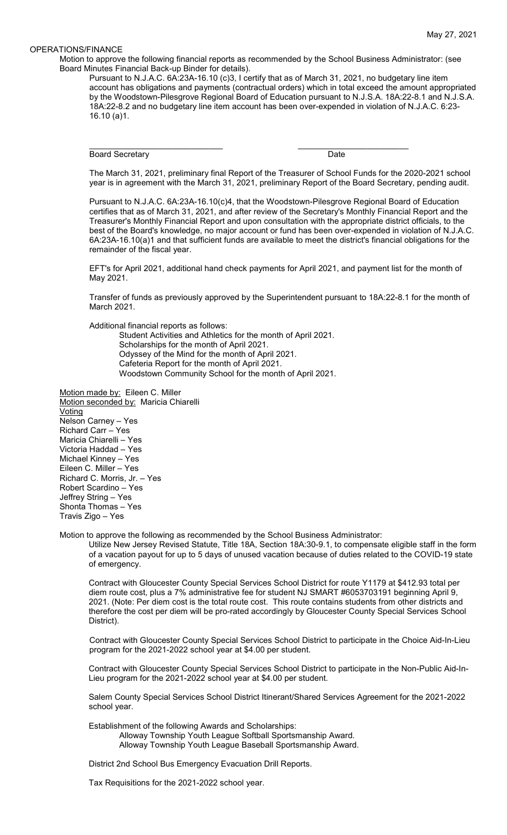#### OPERATIONS/FINANCE

Motion to approve the following financial reports as recommended by the School Business Administrator: (see Board Minutes Financial Back-up Binder for details).

\_\_\_\_\_\_\_\_\_\_\_\_\_\_\_\_\_\_\_\_\_\_\_\_\_\_\_\_\_ \_\_\_\_\_\_\_\_\_\_\_\_\_\_\_\_\_\_\_\_\_\_\_\_

Pursuant to N.J.A.C. 6A:23A-16.10 (c)3, I certify that as of March 31, 2021, no budgetary line item account has obligations and payments (contractual orders) which in total exceed the amount appropriated by the Woodstown-Pilesgrove Regional Board of Education pursuant to N.J.S.A. 18A:22-8.1 and N.J.S.A. 18A:22-8.2 and no budgetary line item account has been over-expended in violation of N.J.A.C. 6:23- 16.10 (a)1.

Board Secretary Date

The March 31, 2021, preliminary final Report of the Treasurer of School Funds for the 2020-2021 school year is in agreement with the March 31, 2021, preliminary Report of the Board Secretary, pending audit.

Pursuant to N.J.A.C. 6A:23A-16.10(c)4, that the Woodstown-Pilesgrove Regional Board of Education certifies that as of March 31, 2021, and after review of the Secretary's Monthly Financial Report and the Treasurer's Monthly Financial Report and upon consultation with the appropriate district officials, to the best of the Board's knowledge, no major account or fund has been over-expended in violation of N.J.A.C. 6A:23A-16.10(a)1 and that sufficient funds are available to meet the district's financial obligations for the remainder of the fiscal year.

EFT's for April 2021, additional hand check payments for April 2021, and payment list for the month of May 2021.

Transfer of funds as previously approved by the Superintendent pursuant to 18A:22-8.1 for the month of March 2021.

Additional financial reports as follows:

Student Activities and Athletics for the month of April 2021. Scholarships for the month of April 2021. Odyssey of the Mind for the month of April 2021. Cafeteria Report for the month of April 2021. Woodstown Community School for the month of April 2021.

Motion made by: Eileen C. Miller Motion seconded by: Maricia Chiarelli **Voting** Nelson Carney – Yes Richard Carr – Yes Maricia Chiarelli – Yes Victoria Haddad – Yes Michael Kinney – Yes Eileen C. Miller – Yes Richard C. Morris, Jr. – Yes Robert Scardino – Yes Jeffrey String – Yes Shonta Thomas – Yes Travis Zigo – Yes

Motion to approve the following as recommended by the School Business Administrator:

Utilize New Jersey Revised Statute, Title 18A, Section 18A:30-9.1, to compensate eligible staff in the form of a vacation payout for up to 5 days of unused vacation because of duties related to the COVID-19 state of emergency.

Contract with Gloucester County Special Services School District for route Y1179 at \$412.93 total per diem route cost, plus a 7% administrative fee for student NJ SMART #6053703191 beginning April 9, 2021. (Note: Per diem cost is the total route cost. This route contains students from other districts and therefore the cost per diem will be pro-rated accordingly by Gloucester County Special Services School District).

Contract with Gloucester County Special Services School District to participate in the Choice Aid-In-Lieu program for the 2021-2022 school year at \$4.00 per student.

Contract with Gloucester County Special Services School District to participate in the Non-Public Aid-In-Lieu program for the 2021-2022 school year at \$4.00 per student.

Salem County Special Services School District Itinerant/Shared Services Agreement for the 2021-2022 school year.

Establishment of the following Awards and Scholarships: Alloway Township Youth League Softball Sportsmanship Award. Alloway Township Youth League Baseball Sportsmanship Award.

District 2nd School Bus Emergency Evacuation Drill Reports.

Tax Requisitions for the 2021-2022 school year.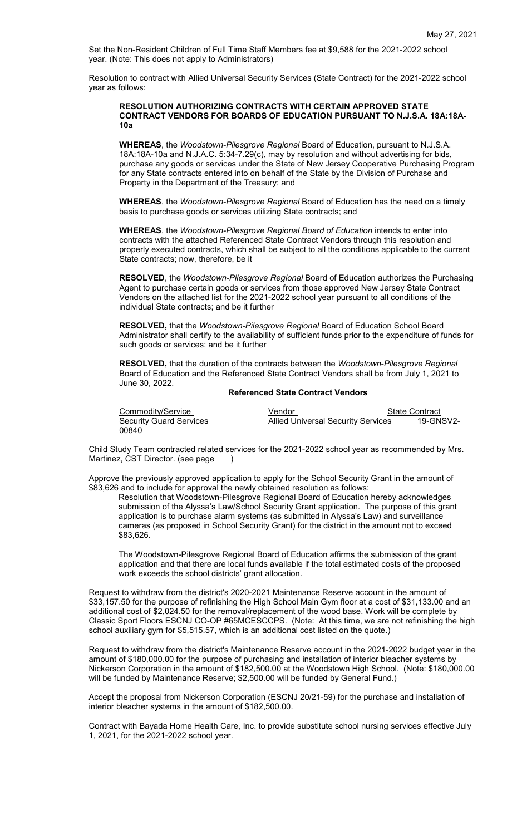Set the Non-Resident Children of Full Time Staff Members fee at \$9,588 for the 2021-2022 school year. (Note: This does not apply to Administrators)

Resolution to contract with Allied Universal Security Services (State Contract) for the 2021-2022 school year as follows:

## **RESOLUTION AUTHORIZING CONTRACTS WITH CERTAIN APPROVED STATE CONTRACT VENDORS FOR BOARDS OF EDUCATION PURSUANT TO N.J.S.A. 18A:18A-10a**

**WHEREAS**, the *Woodstown-Pilesgrove Regional* Board of Education, pursuant to N.J.S.A. 18A:18A-10a and N.J.A.C. 5:34-7.29(c), may by resolution and without advertising for bids, purchase any goods or services under the State of New Jersey Cooperative Purchasing Program for any State contracts entered into on behalf of the State by the Division of Purchase and Property in the Department of the Treasury; and

**WHEREAS**, the *Woodstown-Pilesgrove Regional* Board of Education has the need on a timely basis to purchase goods or services utilizing State contracts; and

**WHEREAS**, the *Woodstown-Pilesgrove Regional Board of Education* intends to enter into contracts with the attached Referenced State Contract Vendors through this resolution and properly executed contracts, which shall be subject to all the conditions applicable to the current State contracts; now, therefore, be it

**RESOLVED**, the *Woodstown-Pilesgrove Regional* Board of Education authorizes the Purchasing Agent to purchase certain goods or services from those approved New Jersey State Contract Vendors on the attached list for the 2021-2022 school year pursuant to all conditions of the individual State contracts; and be it further

**RESOLVED,** that the *Woodstown-Pilesgrove Regional* Board of Education School Board Administrator shall certify to the availability of sufficient funds prior to the expenditure of funds for such goods or services; and be it further

**RESOLVED,** that the duration of the contracts between the *Woodstown-Pilesgrove Regional*  Board of Education and the Referenced State Contract Vendors shall be from July 1, 2021 to June 30, 2022.

## **Referenced State Contract Vendors**

00840

Eommodity/Service Vendor Vendor State Contract<br>
Security Guard Services Allied Universal Security Services 19-GNSV2-**Allied Universal Security Services** 

Child Study Team contracted related services for the 2021-2022 school year as recommended by Mrs. Martinez, CST Director. (see page )

Approve the previously approved application to apply for the School Security Grant in the amount of \$83,626 and to include for approval the newly obtained resolution as follows:

Resolution that Woodstown-Pilesgrove Regional Board of Education hereby acknowledges submission of the Alyssa's Law/School Security Grant application. The purpose of this grant application is to purchase alarm systems (as submitted in Alyssa's Law) and surveillance cameras (as proposed in School Security Grant) for the district in the amount not to exceed \$83,626.

The Woodstown-Pilesgrove Regional Board of Education affirms the submission of the grant application and that there are local funds available if the total estimated costs of the proposed work exceeds the school districts' grant allocation.

Request to withdraw from the district's 2020-2021 Maintenance Reserve account in the amount of \$33,157.50 for the purpose of refinishing the High School Main Gym floor at a cost of \$31,133.00 and an additional cost of \$2,024.50 for the removal/replacement of the wood base. Work will be complete by Classic Sport Floors ESCNJ CO-OP #65MCESCCPS. (Note: At this time, we are not refinishing the high school auxiliary gym for \$5,515.57, which is an additional cost listed on the quote.)

Request to withdraw from the district's Maintenance Reserve account in the 2021-2022 budget year in the amount of \$180,000.00 for the purpose of purchasing and installation of interior bleacher systems by Nickerson Corporation in the amount of \$182,500.00 at the Woodstown High School. (Note: \$180,000.00 will be funded by Maintenance Reserve; \$2,500.00 will be funded by General Fund.)

Accept the proposal from Nickerson Corporation (ESCNJ 20/21-59) for the purchase and installation of interior bleacher systems in the amount of \$182,500.00.

Contract with Bayada Home Health Care, Inc. to provide substitute school nursing services effective July 1, 2021, for the 2021-2022 school year.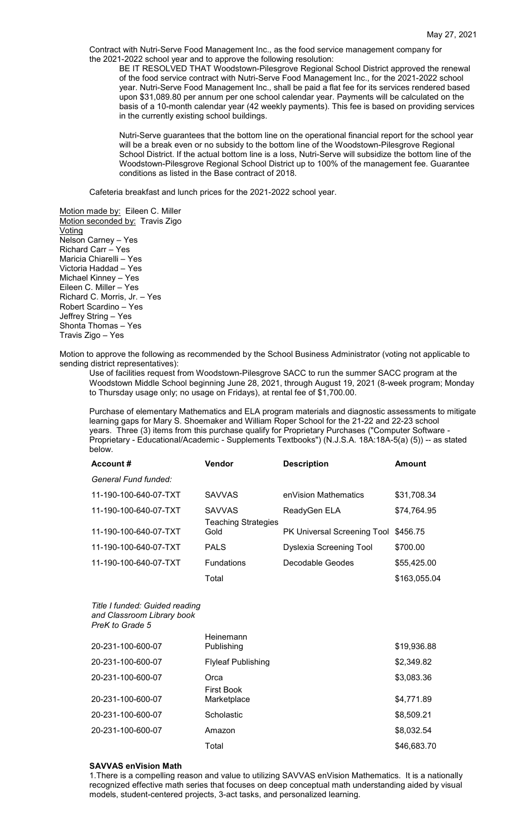Contract with Nutri-Serve Food Management Inc., as the food service management company for the 2021-2022 school year and to approve the following resolution:

BE IT RESOLVED THAT Woodstown-Pilesgrove Regional School District approved the renewal of the food service contract with Nutri-Serve Food Management Inc., for the 2021-2022 school year. Nutri-Serve Food Management Inc., shall be paid a flat fee for its services rendered based upon \$31,089.80 per annum per one school calendar year. Payments will be calculated on the basis of a 10-month calendar year (42 weekly payments). This fee is based on providing services in the currently existing school buildings.

Nutri-Serve guarantees that the bottom line on the operational financial report for the school year will be a break even or no subsidy to the bottom line of the Woodstown-Pilesgrove Regional School District. If the actual bottom line is a loss, Nutri-Serve will subsidize the bottom line of the Woodstown-Pilesgrove Regional School District up to 100% of the management fee. Guarantee conditions as listed in the Base contract of 2018.

Cafeteria breakfast and lunch prices for the 2021-2022 school year.

Motion made by: Eileen C. Miller Motion seconded by: Travis Zigo Voting Nelson Carney – Yes Richard Carr – Yes Maricia Chiarelli – Yes Victoria Haddad – Yes Michael Kinney – Yes Eileen C. Miller – Yes Richard C. Morris, Jr. – Yes Robert Scardino – Yes Jeffrey String – Yes Shonta Thomas – Yes Travis Zigo – Yes

Motion to approve the following as recommended by the School Business Administrator (voting not applicable to sending district representatives):

Use of facilities request from Woodstown-Pilesgrove SACC to run the summer SACC program at the Woodstown Middle School beginning June 28, 2021, through August 19, 2021 (8-week program; Monday to Thursday usage only; no usage on Fridays), at rental fee of \$1,700.00.

Purchase of elementary Mathematics and ELA program materials and diagnostic assessments to mitigate learning gaps for Mary S. Shoemaker and William Roper School for the 21-22 and 22-23 school years. Three (3) items from this purchase qualify for Proprietary Purchases ("Computer Software - Proprietary - Educational/Academic - Supplements Textbooks") (N.J.S.A. 18A:18A-5(a) (5)) -- as stated below.

| Account#              | Vendor                                      | <b>Description</b>                   | <b>Amount</b> |
|-----------------------|---------------------------------------------|--------------------------------------|---------------|
| General Fund funded:  |                                             |                                      |               |
| 11-190-100-640-07-TXT | <b>SAVVAS</b>                               | enVision Mathematics                 | \$31,708.34   |
| 11-190-100-640-07-TXT | <b>SAVVAS</b><br><b>Teaching Strategies</b> | ReadyGen ELA                         | \$74,764.95   |
| 11-190-100-640-07-TXT | Gold                                        | PK Universal Screening Tool \$456.75 |               |
| 11-190-100-640-07-TXT | <b>PALS</b>                                 | Dyslexia Screening Tool              | \$700.00      |
| 11-190-100-640-07-TXT | <b>Fundations</b>                           | Decodable Geodes                     | \$55,425.00   |
|                       | Total                                       |                                      | \$163,055.04  |

*Title I funded: Guided reading and Classroom Library book PreK to Grade 5*

| 20-231-100-600-07 | Heinemann<br>Publishing   | \$19,936.88 |
|-------------------|---------------------------|-------------|
| 20-231-100-600-07 | <b>Flyleaf Publishing</b> | \$2,349.82  |
| 20-231-100-600-07 | Orca<br><b>First Book</b> | \$3,083.36  |
| 20-231-100-600-07 | Marketplace               | \$4,771.89  |
| 20-231-100-600-07 | Scholastic                | \$8,509.21  |
| 20-231-100-600-07 | Amazon                    | \$8,032.54  |
|                   | Total                     | \$46,683.70 |

### **SAVVAS enVision Math**

1.There is a compelling reason and value to utilizing SAVVAS enVision Mathematics. It is a nationally recognized effective math series that focuses on deep conceptual math understanding aided by visual models, student-centered projects, 3-act tasks, and personalized learning.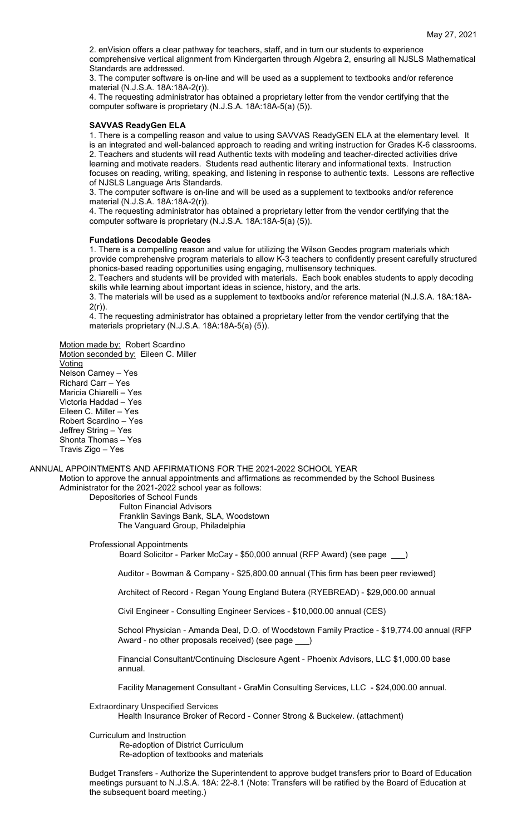2. enVision offers a clear pathway for teachers, staff, and in turn our students to experience comprehensive vertical alignment from Kindergarten through Algebra 2, ensuring all NJSLS Mathematical Standards are addressed.

3. The computer software is on-line and will be used as a supplement to textbooks and/or reference material (N.J.S.A. 18A:18A-2(r)).

4. The requesting administrator has obtained a proprietary letter from the vendor certifying that the computer software is proprietary (N.J.S.A. 18A:18A-5(a) (5)).

#### **SAVVAS ReadyGen ELA**

1. There is a compelling reason and value to using SAVVAS ReadyGEN ELA at the elementary level. It is an integrated and well-balanced approach to reading and writing instruction for Grades K-6 classrooms. 2. Teachers and students will read Authentic texts with modeling and teacher-directed activities drive learning and motivate readers. Students read authentic literary and informational texts. Instruction focuses on reading, writing, speaking, and listening in response to authentic texts. Lessons are reflective of NJSLS Language Arts Standards.

3. The computer software is on-line and will be used as a supplement to textbooks and/or reference material (N.J.S.A. 18A:18A-2(r)).

4. The requesting administrator has obtained a proprietary letter from the vendor certifying that the computer software is proprietary (N.J.S.A. 18A:18A-5(a) (5)).

#### **Fundations Decodable Geodes**

1. There is a compelling reason and value for utilizing the Wilson Geodes program materials which provide comprehensive program materials to allow K-3 teachers to confidently present carefully structured phonics-based reading opportunities using engaging, multisensory techniques.

2. Teachers and students will be provided with materials. Each book enables students to apply decoding skills while learning about important ideas in science, history, and the arts.

3. The materials will be used as a supplement to textbooks and/or reference material (N.J.S.A. 18A:18A-2(r)).

4. The requesting administrator has obtained a proprietary letter from the vendor certifying that the materials proprietary (N.J.S.A. 18A:18A-5(a) (5)).

Motion made by: Robert Scardino

Motion seconded by: Eileen C. Miller Voting Nelson Carney – Yes Richard Carr – Yes Maricia Chiarelli – Yes Victoria Haddad – Yes Eileen C. Miller – Yes Robert Scardino – Yes Jeffrey String – Yes Shonta Thomas – Yes Travis Zigo – Yes

#### ANNUAL APPOINTMENTS AND AFFIRMATIONS FOR THE 2021-2022 SCHOOL YEAR

Motion to approve the annual appointments and affirmations as recommended by the School Business Administrator for the 2021-2022 school year as follows:

## Depositories of School Funds Fulton Financial Advisors

Franklin Savings Bank, SLA, Woodstown The Vanguard Group, Philadelphia

Professional Appointments

Board Solicitor - Parker McCay - \$50,000 annual (RFP Award) (see page

Auditor - Bowman & Company - \$25,800.00 annual (This firm has been peer reviewed)

Architect of Record - Regan Young England Butera (RYEBREAD) - \$29,000.00 annual

Civil Engineer - Consulting Engineer Services - \$10,000.00 annual (CES)

School Physician - Amanda Deal, D.O. of Woodstown Family Practice - \$19,774.00 annual (RFP Award - no other proposals received) (see page \_\_\_)

Financial Consultant/Continuing Disclosure Agent - Phoenix Advisors, LLC \$1,000.00 base annual.

Facility Management Consultant - GraMin Consulting Services, LLC - \$24,000.00 annual.

#### Extraordinary Unspecified Services

Health Insurance Broker of Record - Conner Strong & Buckelew. (attachment)

## Curriculum and Instruction

Re-adoption of District Curriculum Re-adoption of textbooks and materials

Budget Transfers - Authorize the Superintendent to approve budget transfers prior to Board of Education meetings pursuant to N.J.S.A. 18A: 22-8.1 (Note: Transfers will be ratified by the Board of Education at the subsequent board meeting.)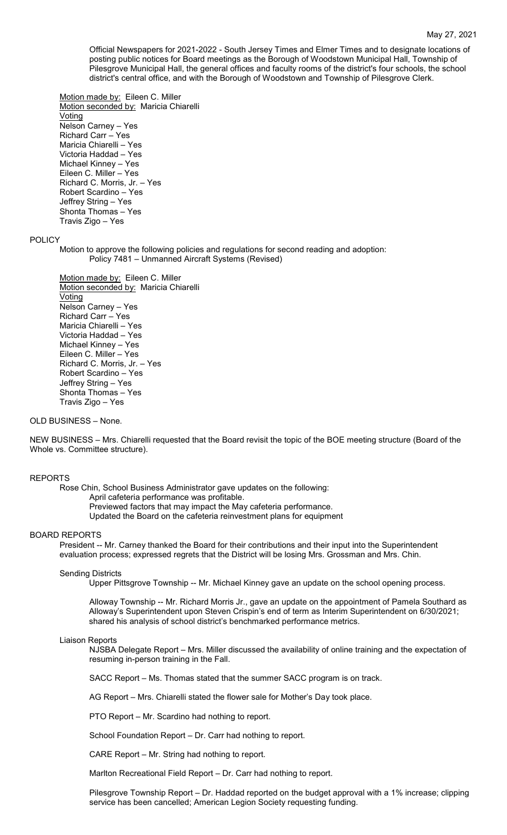Official Newspapers for 2021-2022 - South Jersey Times and Elmer Times and to designate locations of posting public notices for Board meetings as the Borough of Woodstown Municipal Hall, Township of Pilesgrove Municipal Hall, the general offices and faculty rooms of the district's four schools, the school district's central office, and with the Borough of Woodstown and Township of Pilesgrove Clerk.

Motion made by: Eileen C. Miller Motion seconded by: Maricia Chiarelli Voting Nelson Carney – Yes Richard Carr – Yes Maricia Chiarelli – Yes Victoria Haddad – Yes Michael Kinney – Yes Eileen C. Miller – Yes Richard C. Morris, Jr. – Yes Robert Scardino – Yes Jeffrey String – Yes Shonta Thomas – Yes Travis Zigo – Yes

## POLICY

Motion to approve the following policies and regulations for second reading and adoption: Policy 7481 – Unmanned Aircraft Systems (Revised)

Motion made by: Eileen C. Miller Motion seconded by: Maricia Chiarelli Voting Nelson Carney – Yes Richard Carr – Yes Maricia Chiarelli – Yes Victoria Haddad – Yes Michael Kinney – Yes Eileen C. Miller – Yes Richard C. Morris, Jr. – Yes Robert Scardino – Yes Jeffrey String – Yes Shonta Thomas – Yes Travis Zigo – Yes

## OLD BUSINESS – None.

NEW BUSINESS – Mrs. Chiarelli requested that the Board revisit the topic of the BOE meeting structure (Board of the Whole vs. Committee structure).

## REPORTS

Rose Chin, School Business Administrator gave updates on the following:

April cafeteria performance was profitable.

Previewed factors that may impact the May cafeteria performance.

Updated the Board on the cafeteria reinvestment plans for equipment

## BOARD REPORTS

President -- Mr. Carney thanked the Board for their contributions and their input into the Superintendent evaluation process; expressed regrets that the District will be losing Mrs. Grossman and Mrs. Chin.

#### Sending Districts

Upper Pittsgrove Township -- Mr. Michael Kinney gave an update on the school opening process.

Alloway Township -- Mr. Richard Morris Jr., gave an update on the appointment of Pamela Southard as Alloway's Superintendent upon Steven Crispin's end of term as Interim Superintendent on 6/30/2021; shared his analysis of school district's benchmarked performance metrics.

#### Liaison Reports

NJSBA Delegate Report – Mrs. Miller discussed the availability of online training and the expectation of resuming in-person training in the Fall.

SACC Report – Ms. Thomas stated that the summer SACC program is on track.

AG Report – Mrs. Chiarelli stated the flower sale for Mother's Day took place.

PTO Report – Mr. Scardino had nothing to report.

School Foundation Report – Dr. Carr had nothing to report.

CARE Report – Mr. String had nothing to report.

Marlton Recreational Field Report – Dr. Carr had nothing to report.

Pilesgrove Township Report – Dr. Haddad reported on the budget approval with a 1% increase; clipping service has been cancelled; American Legion Society requesting funding.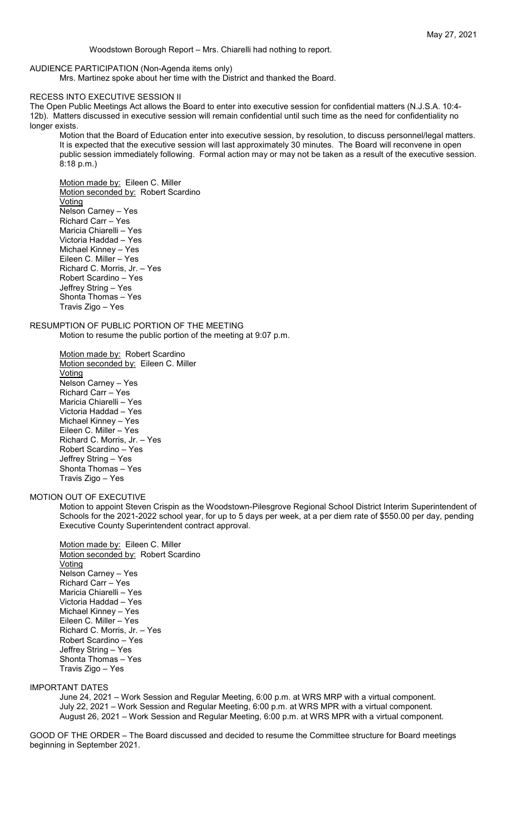## AUDIENCE PARTICIPATION (Non-Agenda items only)

Mrs. Martinez spoke about her time with the District and thanked the Board.

#### RECESS INTO EXECUTIVE SESSION II

The Open Public Meetings Act allows the Board to enter into executive session for confidential matters (N.J.S.A. 10:4- 12b). Matters discussed in executive session will remain confidential until such time as the need for confidentiality no longer exists.

Motion that the Board of Education enter into executive session, by resolution, to discuss personnel/legal matters. It is expected that the executive session will last approximately 30 minutes. The Board will reconvene in open public session immediately following. Formal action may or may not be taken as a result of the executive session. 8:18 p.m.)

Motion made by: Eileen C. Miller Motion seconded by: Robert Scardino Voting Nelson Carney – Yes Richard Carr – Yes Maricia Chiarelli – Yes Victoria Haddad – Yes Michael Kinney – Yes Eileen C. Miller – Yes Richard C. Morris, Jr. – Yes Robert Scardino – Yes Jeffrey String – Yes Shonta Thomas – Yes Travis Zigo – Yes

# RESUMPTION OF PUBLIC PORTION OF THE MEETING

Motion to resume the public portion of the meeting at 9:07 p.m.

Motion made by: Robert Scardino Motion seconded by: Eileen C. Miller **Voting** Nelson Carney – Yes Richard Carr – Yes Maricia Chiarelli – Yes Victoria Haddad – Yes Michael Kinney – Yes Eileen C. Miller – Yes Richard C. Morris, Jr. – Yes Robert Scardino – Yes Jeffrey String – Yes Shonta Thomas – Yes Travis Zigo – Yes

#### MOTION OUT OF EXECUTIVE

Motion to appoint Steven Crispin as the Woodstown-Pilesgrove Regional School District Interim Superintendent of Schools for the 2021-2022 school year, for up to 5 days per week, at a per diem rate of \$550.00 per day, pending Executive County Superintendent contract approval.

Motion made by: Eileen C. Miller Motion seconded by: Robert Scardino **Voting** Nelson Carney – Yes Richard Carr – Yes Maricia Chiarelli – Yes Victoria Haddad – Yes Michael Kinney – Yes Eileen C. Miller – Yes Richard C. Morris, Jr. – Yes Robert Scardino – Yes Jeffrey String – Yes Shonta Thomas – Yes Travis Zigo – Yes

## IMPORTANT DATES

June 24, 2021 – Work Session and Regular Meeting, 6:00 p.m. at WRS MRP with a virtual component. July 22, 2021 – Work Session and Regular Meeting, 6:00 p.m. at WRS MPR with a virtual component. August 26, 2021 – Work Session and Regular Meeting, 6:00 p.m. at WRS MPR with a virtual component.

GOOD OF THE ORDER – The Board discussed and decided to resume the Committee structure for Board meetings beginning in September 2021.